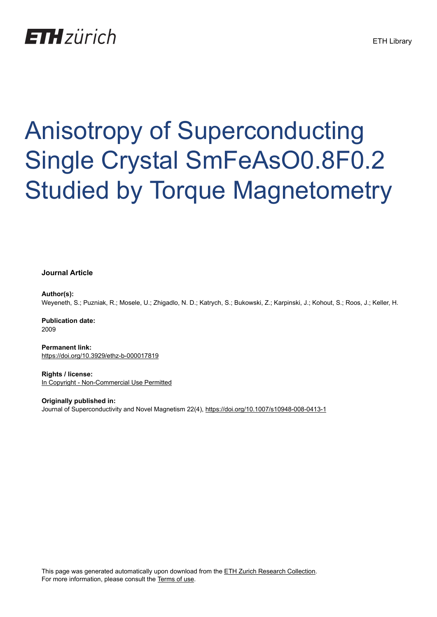## **ETH** zürich

# Anisotropy of Superconducting Single Crystal SmFeAsO0.8F0.2 Studied by Torque Magnetometry

#### **Journal Article**

**Author(s):**

Weyeneth, S.; Puzniak, R.; Mosele, U.; Zhigadlo, N. D.; Katrych, S.; Bukowski, Z.; Karpinski, J.; Kohout, S.; Roos, J.; Keller, H.

**Publication date:** 2009

**Permanent link:** <https://doi.org/10.3929/ethz-b-000017819>

**Rights / license:** [In Copyright - Non-Commercial Use Permitted](http://rightsstatements.org/page/InC-NC/1.0/)

**Originally published in:** Journal of Superconductivity and Novel Magnetism 22(4), <https://doi.org/10.1007/s10948-008-0413-1>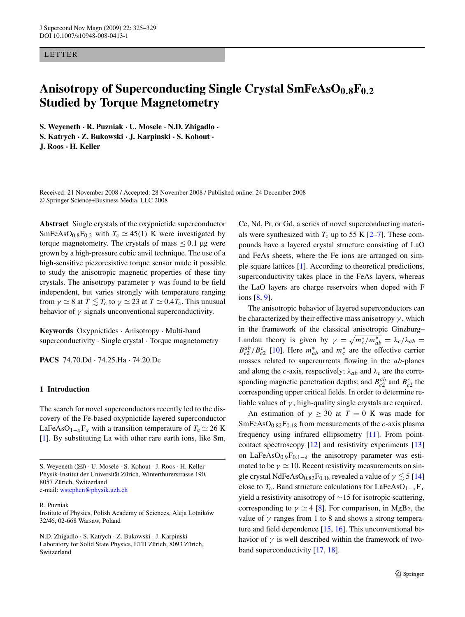#### LETTER

### Anisotropy of Superconducting Single Crystal SmFeAsO<sub>0.8</sub>F<sub>0.2</sub> **Studied by Torque Magnetometry**

**S. Weyeneth · R. Puzniak · U. Mosele · N.D. Zhigadlo · S. Katrych · Z. Bukowski · J. Karpinski · S. Kohout · J. Roos · H. Keller**

Received: 21 November 2008 / Accepted: 28 November 2008 / Published online: 24 December 2008 © Springer Science+Business Media, LLC 2008

**Abstract** Single crystals of the oxypnictide superconductor SmFeAsO<sub>0.8</sub>F<sub>0.2</sub> with  $T_c \simeq 45(1)$  K were investigated by torque magnetometry. The crystals of mass  $\leq 0.1$  µg were grown by a high-pressure cubic anvil technique. The use of a high-sensitive piezoresistive torque sensor made it possible to study the anisotropic magnetic properties of these tiny crystals. The anisotropy parameter *γ* was found to be field independent, but varies strongly with temperature ranging from  $\gamma \simeq 8$  at  $T \lesssim T_{\rm c}$  to  $\gamma \simeq 23$  at  $T \simeq 0.4 T_{\rm c}$ . This unusual behavior of  $\gamma$  signals unconventional superconductivity.

**Keywords** Oxypnictides · Anisotropy · Multi-band superconductivity · Single crystal · Torque magnetometry

**PACS** 74.70.Dd · 74.25.Ha · 74.20.De

#### **1 Introduction**

The search for novel superconductors recently led to the discovery of the Fe-based oxypnictide layered superconductor LaFeAsO<sub>1−*x*</sub>F<sub>*x*</sub> with a transition temperature of  $T_c \simeq 26$  K [\[1](#page-4-0)]. By substituting La with other rare earth ions, like Sm,

S. Weyeneth ( $\boxtimes$ ) · U. Mosele · S. Kohout · J. Roos · H. Keller Physik-Institut der Universität Zürich, Winterthurerstrasse 190, 8057 Zürich, Switzerland e-mail: [wstephen@physik.uzh.ch](mailto:wstephen@physik.uzh.ch)

#### R. Puzniak

Institute of Physics, Polish Academy of Sciences, Aleja Lotników 32/46, 02-668 Warsaw, Poland

N.D. Zhigadlo · S. Katrych · Z. Bukowski · J. Karpinski Laboratory for Solid State Physics, ETH Zürich, 8093 Zürich, Switzerland

Ce, Nd, Pr, or Gd, a series of novel superconducting materials were synthesized with  $T_c$  up to 55 K  $[2-7]$ . These compounds have a layered crystal structure consisting of LaO and FeAs sheets, where the Fe ions are arranged on simple square lattices [[1\]](#page-4-0). According to theoretical predictions, superconductivity takes place in the FeAs layers, whereas the LaO layers are charge reservoirs when doped with F ions [\[8](#page-4-0), [9](#page-4-0)].

The anisotropic behavior of layered superconductors can be characterized by their effective mass anisotropy *γ* , which in the framework of the classical anisotropic Ginzburg– Landau theory is given by  $\gamma = \sqrt{m_c^*/m_{ab}^*} = \lambda_c/\lambda_{ab}$  $B_{c2}^{ab}/B_{c2}^{c}$  [[10\]](#page-4-0). Here  $m_{ab}^{*}$  and  $m_{c}^{*}$  are the effective carrier masses related to supercurrents flowing in the *ab*-planes and along the *c*-axis, respectively;  $\lambda_{ab}$  and  $\lambda_c$  are the corresponding magnetic penetration depths; and  $B_{c2}^{ab}$  and  $B_{c2}^{c}$  the corresponding upper critical fields. In order to determine reliable values of  $\gamma$ , high-quality single crystals are required.

An estimation of  $\gamma \geq 30$  at  $T = 0$  K was made for  $SmFeAsO<sub>0.82</sub>F<sub>0.18</sub>$  from measurements of the *c*-axis plasma frequency using infrared ellipsometry [\[11](#page-4-0)]. From pointcontact spectroscopy [\[12](#page-4-0)] and resistivity experiments [[13\]](#page-4-0) on LaFeAsO $_{0.9}F_{0.1-\delta}$  the anisotropy parameter was estimated to be  $\gamma \simeq 10$ . Recent resistivity measurements on single crystal NdFeAsO<sub>0.82</sub>F<sub>0.18</sub> revealed a value of  $\gamma \lesssim 5$  [[14\]](#page-4-0) close to  $T_c$ . Band structure calculations for LaFeAsO<sub>1−*x*</sub>F<sub>*x*</sub> yield a resistivity anisotropy of ∼15 for isotropic scattering, corresponding to  $\gamma \simeq 4$  [[8\]](#page-4-0). For comparison, in MgB<sub>2</sub>, the value of  $\gamma$  ranges from 1 to 8 and shows a strong temperature and field dependence [\[15](#page-4-0), [16](#page-4-0)]. This unconventional behavior of  $\gamma$  is well described within the framework of twoband superconductivity [[17,](#page-4-0) [18\]](#page-4-0).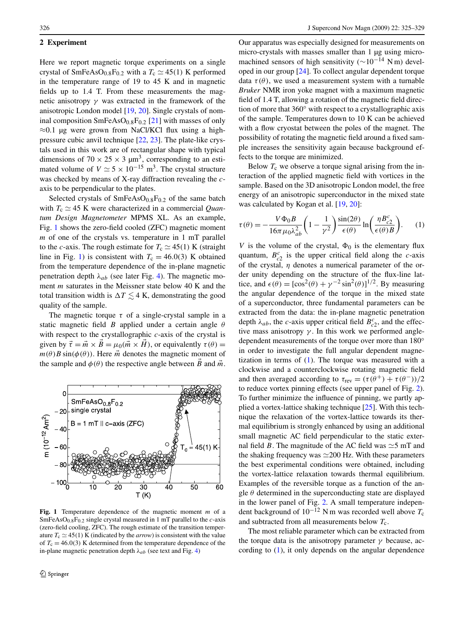#### <span id="page-2-0"></span>**2 Experiment**

Here we report magnetic torque experiments on a single crystal of  $SmFeAsO<sub>0.8</sub>F<sub>0.2</sub>$  with a  $T_c \simeq 45(1)$  K performed in the temperature range of 19 to 45 K and in magnetic fields up to 1.4 T. From these measurements the magnetic anisotropy *γ* was extracted in the framework of the anisotropic London model [\[19](#page-4-0), [20](#page-4-0)]. Single crystals of nominal composition  $SmFeAsO<sub>0.8</sub>F<sub>0.2</sub>$  [[21\]](#page-4-0) with masses of only  $\approx$ 0.1 µg were grown from NaCl/KCl flux using a highpressure cubic anvil technique [\[22](#page-5-0), [23](#page-5-0)]. The plate-like crystals used in this work are of rectangular shape with typical dimensions of 70  $\times$  25  $\times$  3  $\mu$ m<sup>3</sup>, corresponding to an estimated volume of  $V \approx 5 \times 10^{-15}$  m<sup>3</sup>. The crystal structure was checked by means of X-ray diffraction revealing the *c*axis to be perpendicular to the plates.

Selected crystals of  $SmFeAsO<sub>0.8</sub>F<sub>0.2</sub>$  of the same batch with  $T_c \simeq 45$  K were characterized in a commercial *Quantum Design Magnetometer* MPMS XL. As an example, Fig. 1 shows the zero-field cooled (ZFC) magnetic moment *m* of one of the crystals vs. temperature in 1 mT parallel to the *c*-axis. The rough estimate for  $T_c \simeq 45(1)$  K (straight line in Fig. 1) is consistent with  $T_c = 46.0(3)$  K obtained from the temperature dependence of the in-plane magnetic penetration depth  $\lambda_{ab}$  (see later Fig. [4\)](#page-4-0). The magnetic moment *m* saturates in the Meissner state below 40 K and the total transition width is  $\Delta T \lesssim 4$  K, demonstrating the good quality of the sample.

The magnetic torque  $\tau$  of a single-crystal sample in a static magnetic field *B* applied under a certain angle *θ* with respect to the crystallographic *c*-axis of the crystal is given by  $\vec{\tau} = \vec{m} \times \vec{B} = \mu_0(\vec{m} \times \vec{H})$ , or equivalently  $\tau(\theta) =$  $m(\theta)B\sin(\phi(\theta))$ . Here  $\vec{m}$  denotes the magnetic moment of the sample and  $\phi(\theta)$  the respective angle between *B* and  $\vec{m}$ .



**Fig. 1** Temperature dependence of the magnetic moment *m* of a  $SmFeAsO<sub>0.8</sub>F<sub>0.2</sub>$  single crystal measured in 1 mT parallel to the *c*-axis (zero-field cooling, ZFC). The rough estimate of the transition temperature  $T_c \simeq 45(1)$  K (indicated by the *arrow*) is consistent with the value of  $T_c = 46.0(3)$  K determined from the temperature dependence of the in-plane magnetic penetration depth  $\lambda_{ab}$  (see text and Fig. [4\)](#page-4-0)

Our apparatus was especially designed for measurements on micro-crystals with masses smaller than 1 µg using micromachined sensors of high sensitivity ( $\sim$ 10<sup>-14</sup> Nm) developed in our group [[24\]](#page-5-0). To collect angular dependent torque data  $\tau(\theta)$ , we used a measurement system with a turnable *Bruker* NMR iron yoke magnet with a maximum magnetic field of 1.4 T, allowing a rotation of the magnetic field direction of more that 360° with respect to a crystallographic axis of the sample. Temperatures down to 10 K can be achieved with a flow cryostat between the poles of the magnet. The possibility of rotating the magnetic field around a fixed sample increases the sensitivity again because background effects to the torque are minimized.

Below  $T_c$  we observe a torque signal arising from the interaction of the applied magnetic field with vortices in the sample. Based on the 3D anisotropic London model, the free energy of an anisotropic superconductor in the mixed state was calculated by Kogan et al. [[19,](#page-4-0) [20\]](#page-4-0):

$$
\tau(\theta) = -\frac{V\Phi_0 B}{16\pi \mu_0 \lambda_{ab}^2} \left(1 - \frac{1}{\gamma^2}\right) \frac{\sin(2\theta)}{\epsilon(\theta)} \ln\left(\frac{\eta B_{c2}^c}{\epsilon(\theta) B}\right). \tag{1}
$$

*V* is the volume of the crystal,  $\Phi_0$  is the elementary flux quantum,  $B_{c2}^c$  is the upper critical field along the *c*-axis of the crystal, *η* denotes a numerical parameter of the order unity depending on the structure of the flux-line lattice, and  $\epsilon(\theta) = [\cos^2(\theta) + \gamma^{-2} \sin^2(\theta)]^{1/2}$ . By measuring the angular dependence of the torque in the mixed state of a superconductor, three fundamental parameters can be extracted from the data: the in-plane magnetic penetration depth  $\lambda_{ab}$ , the *c*-axis upper critical field  $B_{c2}^c$ , and the effective mass anisotropy  $\gamma$ . In this work we performed angledependent measurements of the torque over more than 180◦ in order to investigate the full angular dependent magnetization in terms of (1). The torque was measured with a clockwise and a counterclockwise rotating magnetic field and then averaged according to  $\tau_{rev} = (\tau(\theta^+) + \tau(\theta^-))/2$ to reduce vortex pinning effects (see upper panel of Fig. [2](#page-3-0)). To further minimize the influence of pinning, we partly applied a vortex-lattice shaking technique [\[25](#page-5-0)]. With this technique the relaxation of the vortex-lattice towards its thermal equilibrium is strongly enhanced by using an additional small magnetic AC field perpendicular to the static external field *B*. The magnitude of the AC field was  $\approx$  5 mT and the shaking frequency was  $\simeq$  200 Hz. With these parameters the best experimental conditions were obtained, including the vortex-lattice relaxation towards thermal equilibrium. Examples of the reversible torque as a function of the angle  $\theta$  determined in the superconducting state are displayed in the lower panel of Fig. [2.](#page-3-0) A small temperature independent background of 10−<sup>12</sup> N m was recorded well above *T*<sup>c</sup> and subtracted from all measurements below  $T_c$ .

The most reliable parameter which can be extracted from the torque data is the anisotropy parameter  $\gamma$  because, according to (1), it only depends on the angular dependence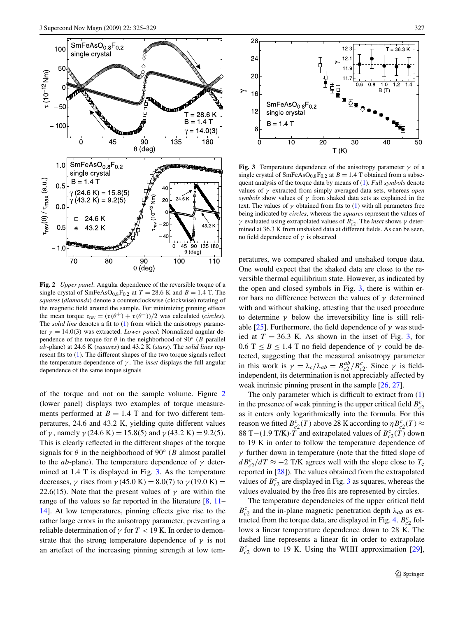<span id="page-3-0"></span>

**Fig. 2** *Upper panel*: Angular dependence of the reversible torque of a single crystal of  $SmFeAsO<sub>0.8</sub>F<sub>0.2</sub>$  at  $T = 28.6$  K and  $B = 1.4$  T. The *squares* (*diamonds*) denote a counterclockwise (clockwise) rotating of the magnetic field around the sample. For minimizing pinning effects the mean torque  $\tau_{rev} = (\tau(\theta^+) + \tau(\theta^-))/2$  was calculated (*circles*). The *solid line* denotes a fit to ([1\)](#page-2-0) from which the anisotropy parameter *γ* = 14*.*0*(*3*)* was extracted. *Lower panel*: Normalized angular dependence of the torque for  $\theta$  in the neighborhood of 90° (*B* parallel *ab*-plane) at 24.6 K (*squares*) and 43.2 K (*stars*). The *solid lines* represent fits to ([1](#page-2-0)). The different shapes of the two torque signals reflect the temperature dependence of *γ* . The *inset* displays the full angular dependence of the same torque signals

of the torque and not on the sample volume. Figure 2 (lower panel) displays two examples of torque measurements performed at  $B = 1.4$  T and for two different temperatures, 24.6 and 43.2 K, yielding quite different values of *γ* , namely *γ(*24*.*6 K*)* = 15*.*8*(*5*)* and *γ(*43*.*2 K*)* = 9*.*2*(*5*)*. This is clearly reflected in the different shapes of the torque signals for  $\theta$  in the neighborhood of 90 $\degree$  (*B* almost parallel to the *ab*-plane). The temperature dependence of *γ* determined at 1.4 T is displayed in Fig. 3. As the temperature decreases, *γ* rises from *γ(*45*.*0 K*)* = 8*.*0*(*7*)* to *γ(*19*.*0 K*)* = 22.6(15). Note that the present values of  $\gamma$  are within the range of the values so far reported in the literature [\[8](#page-4-0), [11–](#page-4-0) [14\]](#page-4-0). At low temperatures, pinning effects give rise to the rather large errors in the anisotropy parameter, preventing a reliable determination of *γ* for *T <* 19 K. In order to demonstrate that the strong temperature dependence of  $\gamma$  is not an artefact of the increasing pinning strength at low tem-



**Fig. 3** Temperature dependence of the anisotropy parameter  $\gamma$  of a single crystal of  $SmFeAsO<sub>0.8</sub>F<sub>0.2</sub>$  at  $B = 1.4$  T obtained from a subsequent analysis of the torque data by means of [\(1\)](#page-2-0). *Full symbols* denote values of *γ* extracted from simply averaged data sets, whereas *open symbols* show values of *γ* from shaked data sets as explained in the text. The values of  $\gamma$  obtained from fits to ([1](#page-2-0)) with all parameters free being indicated by *circles*, whereas the *squares* represent the values of *γ* evaluated using extrapolated values of  $B_{c2}^c$ . The *inset* shows *γ* determined at 36.3 K from unshaked data at different fields. As can be seen, no field dependence of *γ* is observed

peratures, we compared shaked and unshaked torque data. One would expect that the shaked data are close to the reversible thermal equilibrium state. However, as indicated by the open and closed symbols in Fig. 3, there is within error bars no difference between the values of *γ* determined with and without shaking, attesting that the used procedure to determine  $\gamma$  below the irreversibility line is still reliable  $[25]$  $[25]$ . Furthermore, the field dependence of  $\gamma$  was studied at  $T = 36.3$  K. As shown in the inset of Fig. 3, for  $0.6$  T  $\leq$  *B*  $\leq$  1.4 T no field dependence of  $\gamma$  could be detected, suggesting that the measured anisotropy parameter in this work is  $\gamma = \lambda_c / \lambda_{ab} = B_{c2}^{ab} / B_{c2}^c$ . Since  $\gamma$  is fieldindependent, its determination is not appreciably affected by weak intrinsic pinning present in the sample [[26,](#page-5-0) [27\]](#page-5-0).

The only parameter which is difficult to extract from ([1\)](#page-2-0) in the presence of weak pinning is the upper critical field  $B_c^c$ as it enters only logarithmically into the formula. For this reason we fitted  $B_{c2}^c(T)$  above 28 K according to  $\eta B_{c2}^c(T) \approx$ 88 T−(1.9 T/K) $\cdot \overline{T}$  and extrapolated values of  $B_{c2}^c(\overline{T})$  down to 19 K in order to follow the temperature dependence of *γ* further down in temperature (note that the fitted slope of  $dB_{c2}^{c}/dT \approx -2$  T/K agrees well with the slope close to  $T_c$ reported in [[28\]](#page-5-0)). The values obtained from the extrapolated values of  $B_{c2}^c$  are displayed in Fig. 3 as squares, whereas the values evaluated by the free fits are represented by circles.

The temperature dependencies of the upper critical field  $B_{c2}^c$  and the in-plane magnetic penetration depth  $\lambda_{ab}$  as ex-tracted from the torque data, are displayed in Fig. [4.](#page-4-0)  $B_{c2}^c$  follows a linear temperature dependence down to 28 K. The dashed line represents a linear fit in order to extrapolate  $B_{c2}^{c}$  down to 19 K. Using the WHH approximation [\[29](#page-5-0)],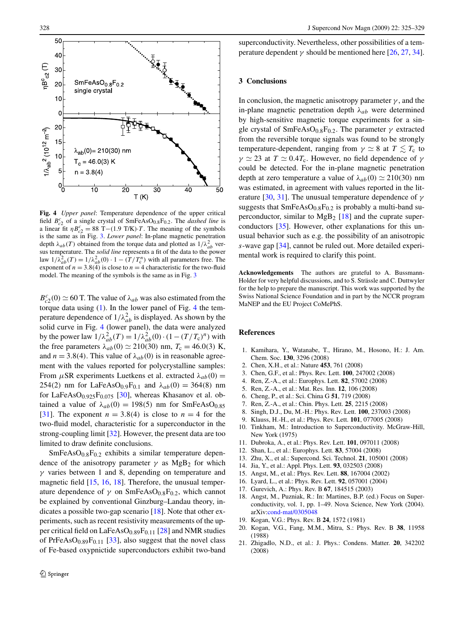<span id="page-4-0"></span>

**Fig. 4** *Upper panel*: Temperature dependence of the upper critical field  $B_{c2}^c$  of a single crystal of SmFeAsO<sub>0.8</sub>F<sub>0.2</sub>. The *dashed line* is a linear fit  $\eta B_{c2}^c = 88 \text{ T} - (1.9 \text{ T/K}) \cdot T$ . The meaning of the symbols is the same as in Fig. [3](#page-3-0). *Lower panel*: In-plane magnetic penetration depth  $\lambda_{ab}(T)$  obtained from the torque data and plotted as  $1/\lambda_{ab}^2$  versus temperature. The *solid line* represents a fit of the data to the power law  $1/\lambda_{ab}^2(T) = 1/\lambda_{ab}^2(0) \cdot 1 - (T/T_c^n)$  with all parameters free. The exponent of  $n = 3.8(4)$  is close to  $n = 4$  characteristic for the two-fluid model. The meaning of the symbols is the same as in Fig. [3](#page-3-0)

 $B_{c2}^{c}(0) \simeq 60$  T. The value of  $\lambda_{ab}$  was also estimated from the torque data using ([1\)](#page-2-0). In the lower panel of Fig. 4 the temperature dependence of  $1/\lambda_{ab}^2$  is displayed. As shown by the solid curve in Fig. 4 (lower panel), the data were analyzed by the power law  $1/\lambda_{ab}^2(T) = 1/\lambda_{ab}^2(0) \cdot (1 - (T/T_c)^n)$  with the free parameters  $\lambda_{ab}(0) \simeq 210(30)$  nm,  $T_c = 46.0(3)$  K, and  $n = 3.8(4)$ . This value of  $\lambda_{ab}(0)$  is in reasonable agreement with the values reported for polycrystalline samples: From  $\mu$ SR experiments Luetkens et al. extracted  $\lambda_{ab}(0)$  = 254(2) nm for LaFeAsO<sub>0.9</sub>F<sub>0.1</sub> and  $λ_{ab}(0) = 364(8)$  nm for LaFeAsO<sub>0.925</sub>F<sub>0.075</sub> [[30\]](#page-5-0), whereas Khasanov et al. obtained a value of  $\lambda_{ab}(0) = 198(5)$  nm for SmFeAsO<sub>0.85</sub> [\[31](#page-5-0)]. The exponent  $n = 3.8(4)$  is close to  $n = 4$  for the two-fluid model, characteristic for a superconductor in the strong-coupling limit [\[32](#page-5-0)]. However, the present data are too limited to draw definite conclusions.

 $SmFeAsO<sub>0.8</sub>F<sub>0.2</sub>$  exhibits a similar temperature dependence of the anisotropy parameter  $\gamma$  as MgB<sub>2</sub> for which *γ* varies between 1 and 8, depending on temperature and magnetic field [15, 16, 18]. Therefore, the unusual temperature dependence of  $\gamma$  on SmFeAsO<sub>0.8</sub>F<sub>0.2</sub>, which cannot be explained by conventional Ginzburg–Landau theory, indicates a possible two-gap scenario  $[18]$ . Note that other experiments, such as recent resistivity measurements of the up-per critical field on LaFeAsO<sub>0.89</sub>F<sub>0.11</sub> [[28\]](#page-5-0) and NMR studies of PrFeAs $O_{0.89}F_{0.11}$  [[33\]](#page-5-0), also suggest that the novel class of Fe-based oxypnictide superconductors exhibit two-band

superconductivity. Nevertheless, other possibilities of a temperature dependent  $\gamma$  should be mentioned here [\[26](#page-5-0), [27,](#page-5-0) [34](#page-5-0)].

#### **3 Conclusions**

In conclusion, the magnetic anisotropy parameter  $\gamma$ , and the in-plane magnetic penetration depth  $\lambda_{ab}$  were determined by high-sensitive magnetic torque experiments for a single crystal of SmFeAsO<sub>0.8</sub>F<sub>0.2</sub>. The parameter  $\gamma$  extracted from the reversible torque signals was found to be strongly temperature-dependent, ranging from  $\gamma \simeq 8$  at  $T \lesssim T_c$  to  $\gamma \simeq 23$  at  $T \simeq 0.4T_c$ . However, no field dependence of  $\gamma$ could be detected. For the in-plane magnetic penetration depth at zero temperature a value of  $\lambda_{ab}(0) \simeq 210(30)$  nm was estimated, in agreement with values reported in the literature [[30,](#page-5-0) [31\]](#page-5-0). The unusual temperature dependence of *γ* suggests that  $SmFeAsO<sub>0.8</sub>F<sub>0.2</sub>$  is probably a multi-band superconductor, similar to  $MgB_2$  [18] and the cuprate superconductors [[35\]](#page-5-0). However, other explanations for this unusual behavior such as e.g. the possibility of an anisotropic *s*-wave gap [\[34](#page-5-0)], cannot be ruled out. More detailed experimental work is required to clarify this point.

**Acknowledgements** The authors are grateful to A. Bussmann-Holder for very helpful discussions, and to S. Strässle and C. Duttwyler for the help to prepare the manuscript. This work was supported by the Swiss National Science Foundation and in part by the NCCR program MaNEP and the EU Project CoMePhS.

#### **References**

- 1. Kamihara, Y., Watanabe, T., Hirano, M., Hosono, H.: J. Am. Chem. Soc. **130**, 3296 (2008)
- 2. Chen, X.H., et al.: Nature **453**, 761 (2008)
- 3. Chen, G.F., et al.: Phys. Rev. Lett. **100**, 247002 (2008)
- 4. Ren, Z.-A., et al.: Europhys. Lett. **82**, 57002 (2008)
- 5. Ren, Z.-A., et al.: Mat. Res. Inn. **12**, 106 (2008)
- 6. Cheng, P., et al.: Sci. China G **51**, 719 (2008)
- 7. Ren, Z.-A., et al.: Chin. Phys. Lett. **25**, 2215 (2008)
- 8. Singh, D.J., Du, M.-H.: Phys. Rev. Lett. **100**, 237003 (2008)
- 9. Klauss, H.-H., et al.: Phys. Rev. Lett. **101**, 077005 (2008)
- 10. Tinkham, M.: Introduction to Superconductivity. McGraw-Hill, New York (1975)
- 11. Dubroka, A., et al.: Phys. Rev. Lett. **101**, 097011 (2008)
- 12. Shan, L., et al.: Europhys. Lett. **83**, 57004 (2008)
- 13. Zhu, X., et al.: Supercond. Sci. Technol. **21**, 105001 (2008)
- 14. Jia, Y., et al.: Appl. Phys. Lett. **93**, 032503 (2008)
- 15. Angst, M., et al.: Phys. Rev. Lett. **88**, 167004 (2002)
- 16. Lyard, L., et al.: Phys. Rev. Lett. **92**, 057001 (2004)
- 17. Gurevich, A.: Phys. Rev. B **67**, 184515 (2003)
- 18. Angst, M., Puzniak, R.: In: Martines, B.P. (ed.) Focus on Superconductivity, vol. 1, pp. 1–49. Nova Science, New York (2004). arXiv:[cond-mat/0305048](http://arxiv.org/abs/cond-mat/0305048)
- 19. Kogan, V.G.: Phys. Rev. B **24**, 1572 (1981)
- 20. Kogan, V.G., Fang, M.M., Mitra, S.: Phys. Rev. B **38**, 11958 (1988)
- 21. Zhigadlo, N.D., et al.: J. Phys.: Condens. Matter. **20**, 342202 (2008)